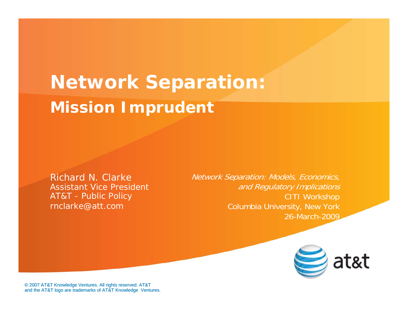**Network Separation: Mission Imprudent**

Richard N. ClarkeAssistant Vice PresidentAT&T - Public Policy rnclarke@att.com

Network Separation: Models, Economics, and Regulatory Implications CITI Workshop Columbia University, New York 26-March-2009



© 2007 AT&T Knowledge Ventures. All rights reserved. AT&T and the AT&T logo are trademarks of AT&T Knowledge Ventures.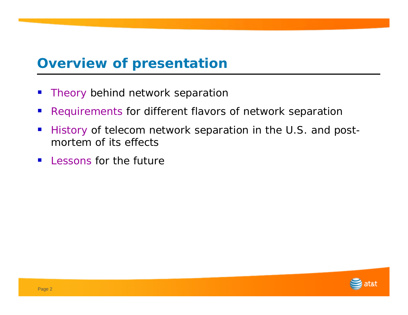### **Overview of presentation**

- Theory behind network separation
- Requirements for different flavors of network separation
- $\mathbb{R}^n$  History of telecom network separation in the U.S. and postmortem of its effects
- **Lessons for the future**

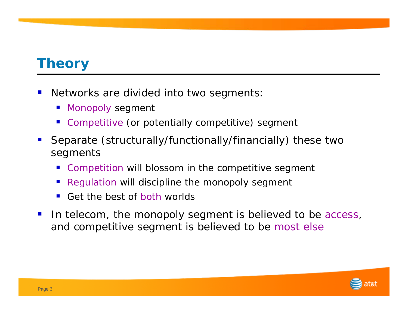#### **Theory**

- Networks are divided into two segments:
	- **STATE** Monopoly segment
	- **Competitive (or potentially competitive) segment**
- Separate (structurally/functionally/financially) these two segments
	- **Competition will blossom in the competitive segment**
	- **STATE** Regulation will discipline the monopoly segment
	- Get the best of both worlds
- In telecom, the monopoly segment is believed to be access, and competitive segment is believed to be most else

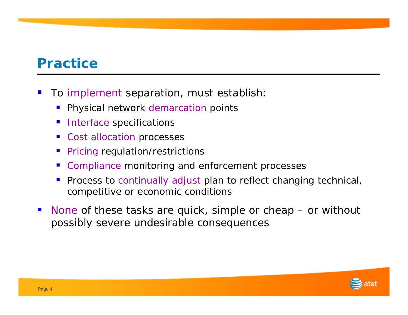### **Practice**

- To implement separation, must establish:
	- **STATE** Physical network demarcation points
	- **STATE Interface specifications**
	- ■ Cost allocation processes
	- **STATE** Pricing regulation/restrictions
	- Compliance monitoring and enforcement processes
	- **STATE**  Process to continually adjust plan to reflect changing technical, competitive or economic conditions
- $\mathbb{R}^3$ ■ None of these tasks are quick, simple or cheap – or without possibly severe undesirable consequences

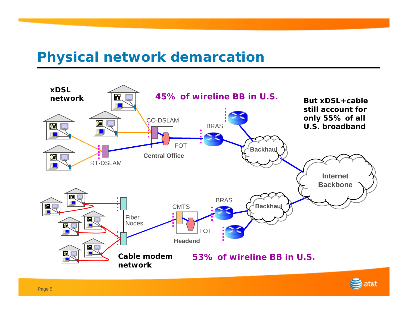# **Physical network demarcation**



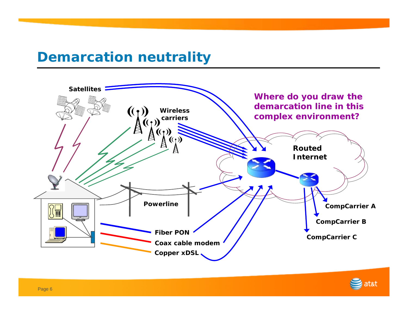#### **Demarcation neutrality**



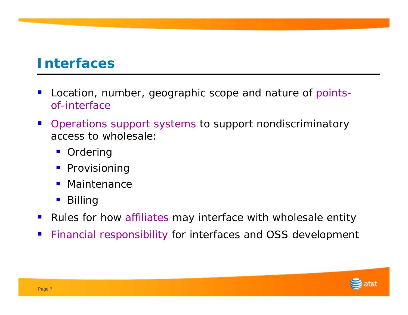#### **Interfaces**

- Location, number, geographic scope and nature of pointsof-interface
- **The Co**  Operations support systems to support nondiscriminatory access to wholesale:
	- $\mathcal{L}_{\mathcal{A}}$ Ordering
	- Provisioning
	- $\mathcal{L}_{\mathcal{A}}$ Maintenance
	- Billing
- ■ Rules for how affiliates may interface with wholesale entity
- Financial responsibility for interfaces and OSS development

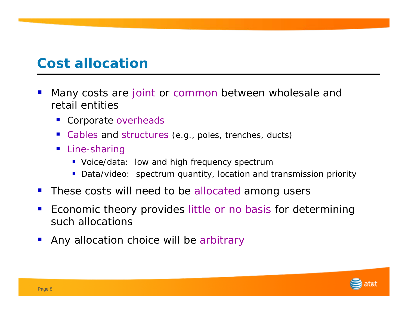# **Cost allocation**

- Many costs are joint or common between wholesale and retail entities
	- **Corporate overheads**
	- Cables and structures (e.g., poles, trenches, ducts)
	- Line-sharing
		- **Voice/data: low and high frequency spectrum**
		- **Data/video:** spectrum quantity, location and transmission priority
- **These costs will need to be allocated among users**
- Economic theory provides little or no basis for determining such allocations
- Any allocation choice will be arbitrary

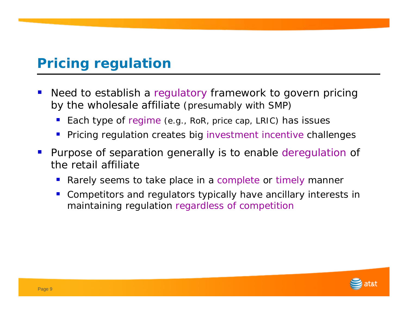# **Pricing regulation**

- Need to establish a regulatory framework to govern pricing by the wholesale affiliate (presumably with SMP)
	- **STATE** Each type of regime (e.g., RoR, price cap, LRIC) has issues
	- **Service Service** Pricing regulation creates big investment incentive challenges
- Purpose of separation generally is to enable deregulation of the retail affiliate
	- **Service Service** Rarely seems to take place in a complete or timely manner
	- **Service Service**  Competitors and regulators typically have ancillary interests in maintaining regulation regardless of competition

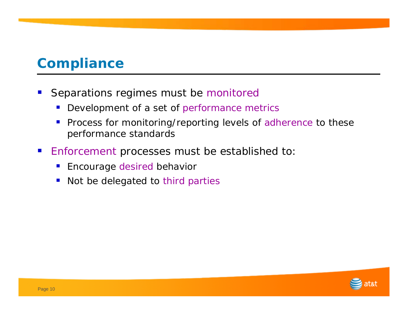# **Compliance**

- Separations regimes must be monitored
	- $\mathcal{L}_{\mathcal{A}}$ Development of a set of performance metrics
	- $\mathcal{L}_{\mathcal{A}}$  Process for monitoring/reporting levels of adherence to these performance standards
- Enforcement processes must be established to:
	- Encourage desired behavior
	- Not be delegated to third parties

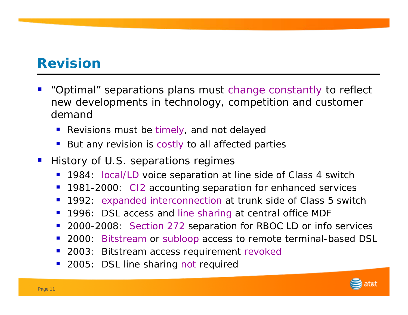# **Revision**

- "Optimal" separations plans must change constantly to reflect new developments in technology, competition and customer demand
	- **Service Service** Revisions must be timely, and not delayed
	- **Service Service** But any revision is costly to all affected parties
- History of U.S. separations regimes
	- 1984: local/LD voice separation at line side of Class 4 switch
	- 1981-2000: CI2 accounting separation for enhanced services
	- $\blacksquare$ 1992: expanded interconnection at trunk side of Class 5 switch
	- $\mathcal{L}_{\mathcal{A}}$ 1996: DSL access and line sharing at central office MDF
	- **Service Service** ■ 2000-2008: Section 272 separation for RBOC LD or info services
	- ■ 2000: Bitstream or subloop access to remote terminal-based DSL
	- **Service Service** 2003: Bitstream access requirement revoked
	- **Service Service** 2005: DSL line sharing not required